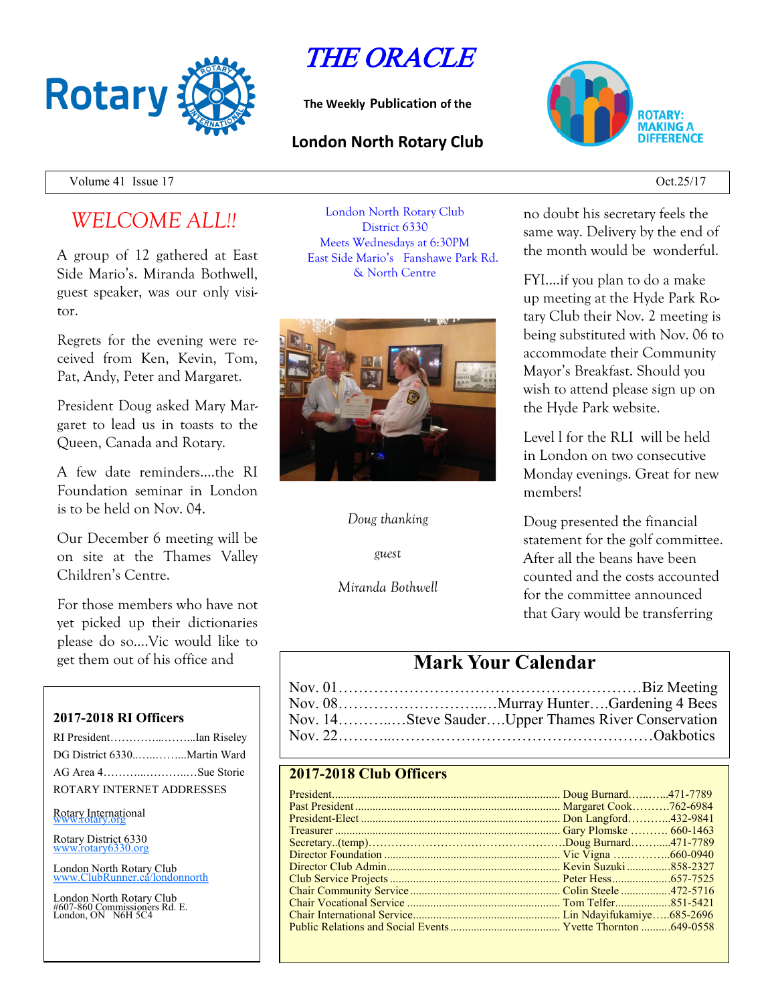

# THE ORACLE

**The Weekly Publication of the**

### **London North Rotary Club**



Volume 41 Issue 17 Oct.25/17

# *WELCOME ALL!!*

A group of 12 gathered at East Side Mario's. Miranda Bothwell, guest speaker, was our only visitor.

Regrets for the evening were received from Ken, Kevin, Tom, Pat, Andy, Peter and Margaret.

President Doug asked Mary Margaret to lead us in toasts to the Queen, Canada and Rotary.

A few date reminders….the RI Foundation seminar in London is to be held on Nov. 04.

Our December 6 meeting will be on site at the Thames Valley Children's Centre.

For those members who have not yet picked up their dictionaries please do so….Vic would like to get them out of his office and

#### **2017-2018 RI Officers**

| RI PresidentIan Riseley     |  |
|-----------------------------|--|
| DG District 6330Martin Ward |  |
| AG Area 4Sue Storie         |  |
| ROTARY INTERNET ADDRESSES   |  |

Rotary International

Rotary District 6330 [www.rotary6330.org](http://www.rotary6330.org/)

London North Rotary Club IubRunner.ca/londonnorth

London North Rotary Club #607-860 Commissioners Rd. E. London, ON N6H 5C4

London North Rotary Club District 6330 Meets Wednesdays at 6:30PM East Side Mario's Fanshawe Park Rd. & North Centre



#### *Doug thanking*

*guest*

*Miranda Bothwell*

no doubt his secretary feels the same way. Delivery by the end of the month would be wonderful.

FYI….if you plan to do a make up meeting at the Hyde Park Rotary Club their Nov. 2 meeting is being substituted with Nov. 06 to accommodate their Community Mayor's Breakfast. Should you wish to attend please sign up on the Hyde Park website.

Level l for the RLI will be held in London on two consecutive Monday evenings. Great for new members!

Doug presented the financial statement for the golf committee. After all the beans have been counted and the costs accounted for the committee announced that Gary would be transferring

## **Mark Your Calendar**

| Nov. 14Steve SauderUpper Thames River Conservation |
|----------------------------------------------------|
|                                                    |

### **2017-2018 Club Officers**